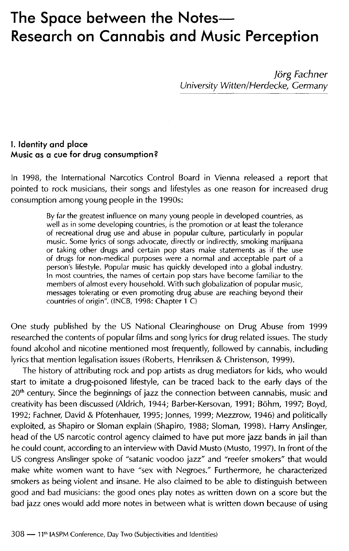# **The Space between the Notes-Research on Cannabis and Music Perception**

Jorg Fachner University Witten/Herdecke, Germany

## **l.** Identity and place Music as a cue for drug consumption?

In 1998, the International Narcotics Control Board in Vienna released a report that pointed to rock musicians, their songs and lifestyles as one reason for increased drug consumption among young people in the 1990s:

> By far the greatest influence on many young people in developed countries, as well as in some developing countries, is the promotion or at least the tolerance of recreational drug use and abuse in popular culture, particularly in popular music. Some lyrics of songs advocate, directly or indirectly, smoking marijuana or taking other drugs and certain pop stars make statements as if the use of drugs for non-medical purposes were a normal and acceptable part of a person's lifestyle. Popular music has quickly developed into a global industry. In most countries, the names of certain pop stars have become familiar to the members of almost every household. With such globalization of popular music, messages tolerating or even promoting drug abuse are reaching beyond their countries of origin". (INCB, 1998: Chapter 1 C)

One study published by the US National Clearinghouse on Drug Abuse from 1999 researched the contents of popular films and song lyrics for drug related issues. The study found alcohol and nicotine mentioned most frequently, followed by cannabis, including lyrics that mention legalisation issues (Roberts, Henriksen & Christenson, 1999).

The history of attributing rock and pop artists as drug mediators for kids, who would start to imitate a drug-poisoned lifestyle, can be traced back to the early days of the 20<sup>th</sup> century. Since the beginnings of jazz the connection between cannabis, music and creativity has been discussed (Aldrich, 1944; Barber-Kersovan, 1991; Bohm, 1997; Boyd, 1992; Fachner, David & Pfotenhauer, 1995; Jonnes, 1999; Mezzrow, 1946) and politically exploited, as Shapiro or Sloman explain (Shapiro, 1988; Sloman, 1998). Harry Anslinger, head of the US narcotic control agency claimed to have put more jazz bands in jail than he could count, according to an interview with David Musto (Musto, 1997). In front of the US congress Anslinger spoke of "satanic voodoo jazz" and "reefer smokers" that would make white women want to have "sex with Negroes." Furthermore, he characterized smokers as being violent and insane. He also claimed to be able to distinguish between good and bad musicians: the good ones play notes as written down on a score but the bad jazz ones would add more notes in between what is written down because of using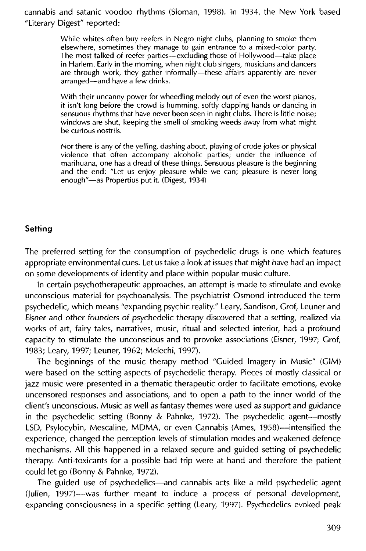cannabis and satanic voodoo rhythms (Sloman, 1998). In 1934, the New York based "Literary Digest" reported:

> While whites often buy reefers in Negro night clubs, planning to smoke them elsewhere, sometimes they manage to gain entrance to a mixed-color party. The most talked of reefer parties—excluding those of Hollywood—take place in Harlem. Early in the morning, when night club singers, musicians and dancers are through work, they gather informally—these affairs apparently are never arranged-and have a few drinks.

> With their uncanny power for wheedling melody out of even the worst pianos, it isn't long before the crowd is humming, softly clapping hands or dancing in sensuous rhythms that have never been seen in night clubs. There is little noise; windows are shut, keeping the smell of smoking weeds away from what might be curious nostrils.

> Nor there is any of the yelling, dashing about, playing of crude jokes or physical violence that often accompany alcoholic parties; under the influence of marihuana, one has a dread of these things. Sensuous pleasure is the beginning and the end: "Let us enjoy pleasure while we can; pleasure is never long enough"—as Propertius put it. (Digest, 1934)

#### **Setting**

The preferred setting for the consumption of psychedelic drugs is one which features appropriate environmental cues. Let us take a look at issues that might have had an impact on some developments of identity and place within popular music culture.

In certain psychotherapeutic approaches, an attempt is made to stimulate and evoke unconscious material for psychoanalysis. The psychiatrist Osmond introduced the term psychedelic, which means "expanding psychic reality." Leary, Sandison, Grof, Leuner and Eisner and other founders of psychedelic therapy discovered that a setting, realized via works of art, fairy tales, narratives, music, ritual and selected interior, had a profound capacity to stimulate the unconscious and to provoke associations (Eisner, 1997; Grof, 1983; Leary, 1997; Leuner, 1962; Melechi, 1997).

The beginnings of the music therapy method "Guided Imagery in Music" (GIM) were based on the setting aspects of psychedelic therapy. Pieces of mostly classical or jazz music were presented in a thematic therapeutic order to facilitate emotions, evoke uncensored responses and associations, and to open a path to the inner world of the client's unconscious. Music as well as fantasy themes were used as support and guidance in the psychedelic setting (Bonny & Pahnke, 1972). The psychedelic agent--mostly LSD, Psylocybin, Mescaline, MDMA, or even Cannabis (Ames, 1958)--intensified the experience, changed the perception levels of stimulation modes and weakened defence mechanisms. All this happened in a relaxed secure and guided setting of psychedelic therapy. Anti-toxicants for a possible bad trip were at hand and therefore the patient could let go (Bonny & Pahnke, 1972).

The guided use of psychedelics-and cannabis acts like a mild psychedelic agent (Julien, 1997)--was further meant to induce a process of personal development, expanding consciousness in a specific setting (Leary, 1997). Psychedelics evoked peak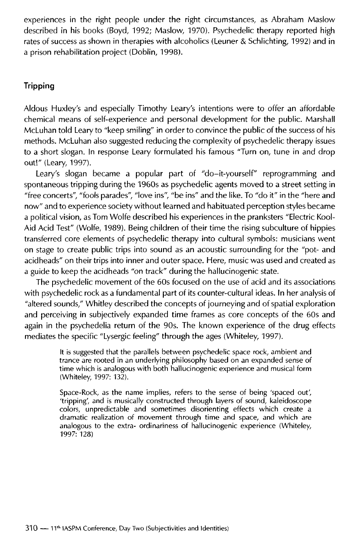experiences in the right people under the right circumstances, as Abraham Maslow described in his books (Boyd, 1992; Maslow, 1970). Psychedelic therapy reported high rates of success as shown in therapies with alcoholics (Leuner & Schlichting, 1992) and in a prison rehabilitation project (Doblin, 1998).

# Tripping

Aldous Huxley's and especially Timothy Leary's intentions were to offer an affordable chemical means of self-experience and personal development for the public. Marshal1 McLuhan told Leary to "keep smiling" in order to convince the public of the success of his methods. McLuhan also suggested reducing the complexity of psychedelic therapy issues to a short slogan. In response Leary formulated his famous "Turn on, tune in and drop out!" (Leary, 1997).

Leary's slogan became a popular part of "do-it-yourself" reprogramming and spontaneous tripping during the 1960s as psychedelic agents moved to a street setting in "free concerts", "fools parades", "love ins", "be ins" and the like. To "do it" in the "here and now" and to experience society without learned and habituated perception styles became a political vision, as Tom Wolfe described his experiences in the pranksters "Electric Kool-Aid Acid Test" (Wolfe, 1989). Being children of their time the rising subculture of hippies transferred core elements of psychedelic therapy into cultural symbols: musicians went on stage to create public trips into sound as an acoustic surrounding for the "pot- and acidheads" on their trips into inner and outer space. Here, music was used and created as a guide to keep the acidheads "on track" during the hallucinogenic state.

The psychedelic movement of the 60s focused on the use of acid and its associations with psychedelic rock as a fundamental part of its counter-cultural ideas. In her analysis of "altered sounds," Whitley described the concepts of journeying and of spatial exploration and perceiving in subjectively expanded time frames as core concepts of the 60s and again in the psychedelia return of the 90s. The known experience of the drug effects mediates the specific "Lysergic feeling" through the ages (Whiteley, 1997).

> It is suggested that the parallels between psychedelic space rock, ambient and trance are rooted in an underlying philosophy based on an expanded sense of time which is analogous with both hallucinogenic experience and musical form (Whiteley, 1997: 132).

> Space-Rock, as the name implies, refers to the sense of being 'spaced out', 'tripping', and is musically constructed through layers of sound, kaleidoscope colors, unpredictable and sometimes disorienting effects which create a dramatic realization of movement through time and space, and which are analogous to the extra- ordinariness of hallucinogenic experience (Whiteley, 1997: 128)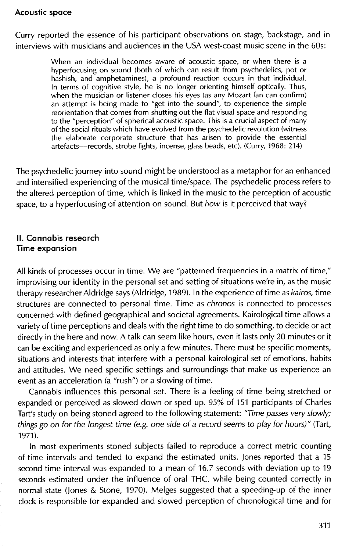#### Acoustic space

Curry reported the essence of his participant observations on stage, backstage, and in interviews with musicians and audiences in the USA west-coast music scene in the 60s:

> When an individual becomes aware of acoustic space, or when there is a hyperfocusing on sound (both of which can result from psychedelics, pot or hashish, and amphetamines), a profound reaction occurs in that individual. In terms of cognitive style, he is no longer orienting himself optically. Thus, when the musician or listener closes his eyes (as any Mozart fan can confirm) an attempt is being made to "get into the sound", to experience the simple reorientation that comes from shutting out the flat visual space and responding to the "perception" of spherical acoustic space. This is a crucial aspect of many of the social rituals which have evolved from the psychedelic revolution (witness the elaborate corporate structure that has arisen to provide the essential artefacts--records, strobe lights, incense, glass beads, etc). (Curry, 1968: 214)

The psychedelic journey into sound might be understood as a metaphor for an enhanced and intensified experiencing of the musical time/space. The psychedelic process refers to the altered perception of time, which is linked in the music to the perception of acoustic space, to a hyperfocusing of attention on sound. But how is it perceived that way?

### l. Cannabis research Time expansion

All kinds of processes occur in time. We are "patterned frequencies in a matrix of time," improvising our identity in the personal set and setting of situations we're in, as the music therapy researcher Aldridge says (Aldridge, 1989). In the experience of time as kairos, time structures are connected to personal time. Time as chronos is connected to processes concerned with defined geographical and societal agreements. Kairological time allows a variety of time perceptions and deals with the right time to do something, to decide or act directly in the here and now. A talk can seem like hours, even it lasts only 20 minutes or it can be exciting and experienced as only a few minutes. There must be specific moments, situations and interests that interfere with a personal kairological set of emotions, habits and attitudes. We need specific settings and surroundings that make us experience an event as an acceleration (a "rush") or a slowing of time.

Cannabis influences this personal set. There is a feeling of time being stretched or expanded or perceived as slowed down or sped up. 95% of 151 participants of Charles Tart's study on being stoned agreed to the following statement: "Time passes very slowly; things go on for the longest time (e.g. one side of a record seems to play for hours)" (Tart, 1971).

In most experiments stoned subjects failed to reproduce a correct metric counting of time intervals and tended to expand the estimated units. Jones reported that a 15 second time interval was expanded to a mean of 16.7 seconds with deviation up to 19 seconds estimated under the influence of oral THC, while being counted correctly in normal state (Jones & Stone, 1970). Melges suggested that a speeding-up of the inner clock is responsible for expanded and slowed perception of chronological time and for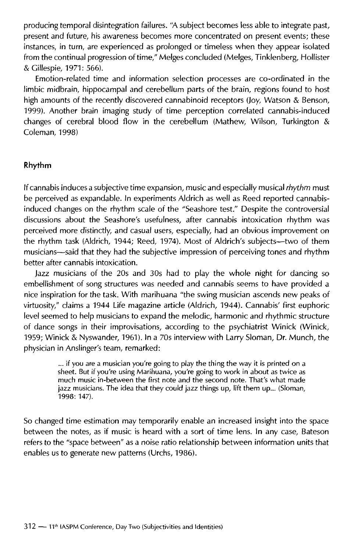producing temporal disintegration failures. "A subject becomes less able to integrate past, present and future, his awareness becomes more concentrated on present events; these instances, in turn, are experienced as prolonged or timeless when they appear isolated from the continual progression of time," Melges concluded (Melges, Tinklenberg, Hollister & Gillespie, 1971 : 566).

Emotion-related time and information selection processes are co-ordinated in the limbic midbrain, hippocampal and cerebellum parts of the brain, regions found to host high amounts of the recently discovered cannabinoid receptors (Joy, Watson & Benson, 1999). Another brain imaging study of time perception correlated cannabis-induced changes of cerebral blood flow in the cerebellum (Mathew, Wilson, Turkington & Coleman, 1998)

#### **Rhythm**

If cannabis induces a subjective time expansion, music and especially musical rhythm must be perceived as expandable. In experiments Aldrich as well as Reed reported cannabisinduced changes on the rhythm scale of the "Seashore test." Despite the controversial discussions about the Seashore's usefulness, after cannabis intoxication rhythm was perceived more distinctly, and casual users, especially, had an obvious improvement on the rhythm task (Aldrich, 1944; Reed, 1974). Most of Aldrich's subjects—two of them musicians-said that they had the subjective impression of perceiving tones and rhythm better after cannabis intoxication.

Jazz musicians of the 20s and 30s had to play the whole night for dancing so embellishment of song structures was needed and cannabis seems to have provided a nice inspiration for the task. With marihuana "the swing musician ascends new peaks of virtuosity," claims a 1944 Life magazine article (Aldrich, 1944). Cannabis' first euphoric level seemed to help musicians to expand the melodic, harmonic and rhythmic structure of dance songs in their improvisations, according to the psychiatrist Winick (Winick, 1959; Winick & Nyswander, 1961). In a 70s interview with Larry Sloman, Dr. Munch, the physician in Anslinger's team, remarked:

> ... if you are a musician you're going to play the thing the way it is printed on a sheet. But if you're using Marihuana, you're going to work in about as twice as much music in-between the first note and the second note. That's what made jazz musicians. The idea that they could jazz things up, lift them up... (Sloman, 1998: 147).

So changed time estimation may temporarily enable an increased insight into the space between the notes, as if music is heard with a sort of time lens. In any case, Bateson refers to the "space between" as a noise ratio relationship between information units that enables us to generate new patterns (Urchs, 1986).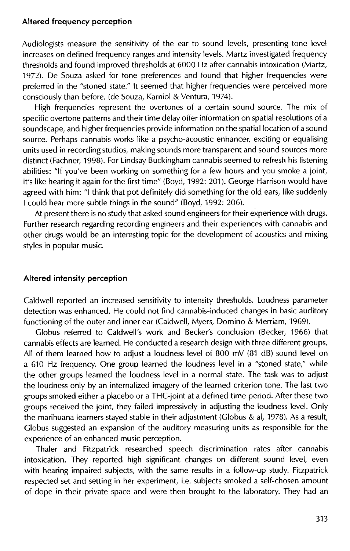# Altered frequency perception

Audiologists measure the sensitivity of the ear to sound levels, presenting tone level increases on defined frequency ranges and intensity levels. Martz investigated frequency thresholds and found improved thresholds at 6000 Hz after cannabis intoxication (Martz, 1972). De Souza asked for tone preferences and found that higher frequencies were preferred in the "stoned state." It seemed that higher frequencies were perceived more consciously than before. (de Souza, Karniol & Ventura, 1974).

High frequencies represent the overtones of a certain sound source. The mix of specific overtone patterns and their time delay offer information on spatial resolutions of a soundscape, and higher frequencies provide information on the spatial location of a sound source. Perhaps cannabis works like a psycho-acoustic enhancer, exciting or equalising units used in recording studios, making sounds more transparent and sound sources more distinct (Fachner, 1998). For Lindsay Buckingham cannabis seemed to refresh his listening abilities: "If you've been working on something for a few hours and you smoke a joint, it's like hearing it again for the first time" (Boyd, 1992: 201). George Harrison would have agreed with him: "I think that pot definitely did something for the old ears, like suddenly l could hear more subtle things in the sound" (Boyd, 1992: 206).

At present there is no study that asked sound engineers for their experience with drugs. Further research regarding recording engineers and their experiences with cannabis and other drugs would be an interesting topic for the development of acoustics and mixing styles in popular music.

# Altered intensity perception

Caldwell reported an increased sensitivity to intensity thresholds. Loudness parameter detection was enhanced. He could not find cannabis-induced changes in basic auditory functioning of the outer and inner ear (Caldwell, Myers, Domino & Merriam, 1969).

Globus referred to Caldwell's work and Becker's conclusion (Becker, 1966) that cannabis effects are learned. He conducted a research design with three different groups. All of them learned how to adjust a loudness level of 800 mV (81 dB) sound level on a 610 Hz frequency. One group learned the loudness level in a "stoned state," while the other groups learned the loudness level in a normal state. The task was to adjust the loudness only by an internalized imagery of the learned criterion tone. The last two groups smoked either a placebo or a THC-joint at a defined time period. After these two groups received the joint, they failed impressively in adjusting the loudness level. Only the marihuana learners stayed stable in their adjustment (Globus & al, 1978). As a result, Globus suggested an expansion of the auditory measuring units as responsible for the experience of an enhanced music perception.

Thaler and Fitzpatrick researched speech discrimination rates after cannabis intoxication. They reported high significant changes on different sound level, even with hearing impaired subjects, with the same results in a follow-up study. Fitzpatrick respected set and setting in her experiment, i.e. subjects smoked a self-chosen amount of dope in their private space and were then brought to the laboratory. They had an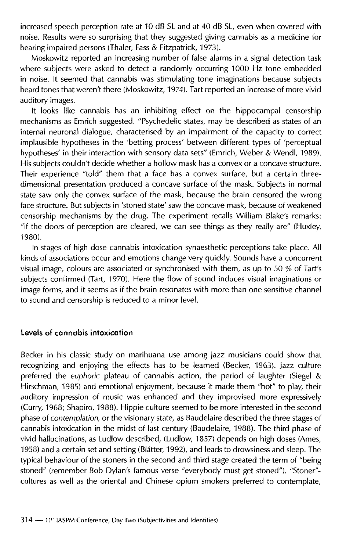increased speech perception rate at 10 dB SL and at 40 dB SL, even when covered with noise. Results were so surprising that they suggested giving cannabis as a medicine for hearing impaired persons (Thaler, Fass & Fitzpatrick, 1973).

Moskowitz reported an increasing number of false alarms in a signal detection task where subjects were asked to detect a randomly occurring 1000 Hz tone embedded in noise. It seemed that cannabis was stimulating tone imaginations because subjects heard tones that weren't there (Moskowitz, 1974). Tart reported an increase of more vivid auditory images.

It looks like cannabis has an inhibiting effect on the hippocampal censorship mechanisms as Emrich suggested. "Psychedelic states, may be described as states of an internal neuronal dialogue, characterised by an impairment of the capacity to correct implausible hypotheses in the 'betting process' between different types of 'perceptual hypotheses' in their interaction with sensory data sets" (Emrich, Weber & Wendl, 1989). His subjects couldn't decide whether a hollow mask has a convex or a concave structure. Their experience "told" them that a face has a convex surface, but a certain threedimensional presentation produced a concave surface of the mask. Subjects in normal state saw only the convex surface of the mask, because the brain censored the wrong face structure. But subjects in 'stoned state' saw the concave mask, because of weakened censorship mechanisms by the drug. The experiment recalls William Blake's remarks: "if the doors of perception are cleared, we can see things as they really are" (Huxley, 1980).

In stages of high dose cannabis intoxication synaesthetic perceptions take place. All kinds of associations occur and emotions change very quickly. Sounds have a concurrent visual image, colours are associated or synchronised with them, as up to 50 % of Tart's subjects confirmed (Tart, 1970). Here the flow of sound induces visual imaginations or image forms, and it seems as if the brain resonates with more than one sensitive channel to sound and censorship is reduced to a minor level.

# Levels of cannabis intoxication

Becker in his classic study on marihuana use among jazz musicians could show that recognizing and enjoying the effects has to be learned (Becker, 1963). Jazz culture preferred the euphoric plateau of cannabis action, the period of laughter (Siegel & Hirschman, 1985) and emotional enjoyment, because it made them "hot" to play, their auditory impression of music was enhanced and they improvised more expressively (Curry, 1968; Shapiro, 1988). Hippie culture seemed to be more interested in the second phase of contemplation, or the visionary state, as Baudelaire described the three stages of cannabis intoxication in the midst of last century (Baudelaire, 1988). The third phase of vivid hallucinations, as Ludlow described, (Ludlow, 1857) depends on high doses (Ames, 1958) and a certain set and setting (Blatter, 1992), and leads to drowsiness and sleep. The typical behaviour of the stoners in the second and third stage created the term of "being stoned" (remember Bob Dylan's famous verse "everybody must get stoned"). "Stoner"cultures as well as the oriental and Chinese opium smokers preferred to contemplate,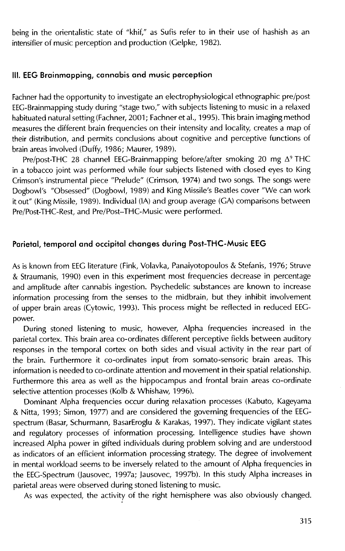being in the orientalistic state of "khif," as Sufis refer to in their use of hashish as an intensifier of music perception and production (Gelpke, 1982).

### <sup>11</sup>**EEG** Brainmapping, cannabis and music perception

Fachner had the opportunity to investigate an electrophysiological ethnographic pre/post EEG-Brainmapping study during "stage two," with subjects listening to music in a relaxed habituated natural setting (Fachner, 2001; Fachner et al., 1995). This brain imaging method measures the different brain frequencies on their intensity and locality, creates a map of their distribution, and permits conclusions about cognitive and perceptive functions of brain areas involved (Duffy, 1986; Maurer, 1989).

Pre/post-THC 28 channel EEG-Brainmapping before/after smoking 20 mg  $\Delta^9$  THC in a tobacco joint was performed while four subjects listened with closed eyes to King Crimson's instrumental piece "Prelude" (Crimson, 1974) and two songs. The songs were Dogbowl's "Obsessed" (Dogbowl, 1989) and King Missile's Beatles cover "We can work it out" (King Missile, 1989). Individual (IA) and group average (GA) comparisons between Pre/Post-THC-Rest, and Pre/Post-THC-Music were performed.

#### Parietal, temporal and occipital changes during Post-THC-Music **EEG**

As is known from EEG literature (Fink, Volavka, Panaiyotopoulos & Stefanis, 1976; Struve & Straumanis, 1990) even in this experiment most frequencies decrease in percentage and amplitude after cannabis ingestion. Psychedelic substances are known to increase information processing from the senses to the midbrain, but they inhibit involvement of upper brain areas (Cytowic, 1993). This process might be reflected in reduced EEGpower.

During stoned listening to music, however, Alpha frequencies increased in the parietal cortex. This brain area co-ordinates different perceptive fields between auditory responses in the temporal cortex on both sides and visual activity in the rear part of the brain. Furthermore it co-ordinates input from somato-sensoric brain areas. This information is needed to co-ordinate attention and movement in their spatial relationship. Furthermore this area as well as the hippocampus and frontal brain areas co-ordinate selective attention processes (Kolb & Whishaw, 1996).

Dominant Alpha frequencies occur during relaxation processes (Kabuto, Kageyama & Nitta, 1993; Simon, 1977) and are considered the governing frequencies of the EEGspectrum (Basar, Schurmann, BasarEroglu & Karakas, 1997). They indicate vigilant states and regulatory processes of information processing. Intelligence studies have shown increased Alpha power in gifted individuals during problem solving and are understood as indicators of an efficient information processing strategy. The degree of involvement in mental workload seems to be inversely related to the amount of Alpha frequencies in the EEG-Spectrum (Jausovec, 1997a; Jausovec, 1997b). In this study Alpha increases in parietal areas were observed during stoned listening to music.

As was expected, the activity of the right hemisphere was also obviously changed.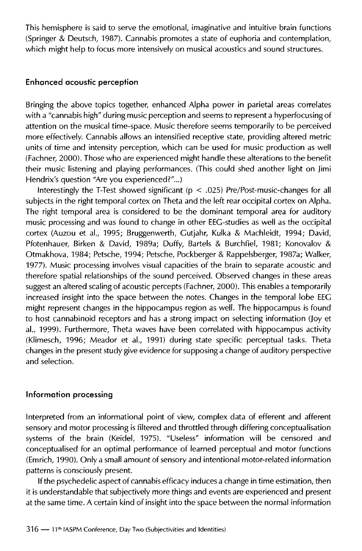This hemisphere is said to serve the emotional, imaginative and intuitive brain functions (Springer & Deutsch, 1987). Cannabis promotes a state of euphoria and contemplation, which might help to focus more intensively on musical acoustics and sound structures.

# Enhanced acoustic perception

Bringing the above topics together, enhanced Alpha power in parietal areas correlates with a "cannabis high" during music perception and seems to represent a hyperfocusing of attention on the musical time-space. Music therefore seems temporarily to be perceived more effectively. Cannabis allows an intensified receptive state, providing altered metric units of time and intensity perception, which can be used for music production as well (Fachner, 2000). Those who are experienced might handle these alterations to the benefit their music listening and playing performances. (This could shed another light on Jimi Hendrix's question "Are you experienced?"...)

Interestingly the T-Test showed significant ( $p < .025$ ) Pre/Post-music-changes for all subjects in the right temporal cortex on Theta and the left rear occipital cortex on Alpha. The right temporal area is considered to be the dominant temporal area for auditory music processing and was found to change in other EEG-studies as well as the occipital cortex (Auzou et al., 1995; Bruggenwerth, Gutjahr, Kulka & Machleidt, 1994; David, Pfotenhauer, Birken & David, 1989a; Duffy, Bartels & Burchfiel, 1981; Konovalov & Otmakhova, 1984; Petsche, 1994; Petsche, Pockberger & Rappelsberger, 1987a; Walker, 1977). Music processing involves visual capacities of the brain to separate acoustic and therefore spatial relationships of the sound perceived. Observed changes in these areas suggest an altered scaling of acoustic percepts (Fachner, 2000). This enables a temporarily increased insight into the space between the notes. Changes in the temporal lobe EEG might represent changes in the hippocampus region as well. The hippocampus is found to host cannabinoid receptors and has a strong impact on selecting information (Joy et al., 1999). Furthermore, Theta waves have been correlated with hippocampus activity (Klimesch, 1996; Meador et al., 1991) during state specific perceptual tasks. Theta changes in the present study give evidence for supposing a change of auditory perspective and selection.

#### Information processing

Interpreted from an informational point of view, complex data of efferent and afferent sensory and motor processing is filtered and throttled through differing conceptualisation systems of the brain (Keidel, 1975). "Useless" information will be censored and conceptualised for an optimal performance of learned perceptual and motor functions (Emrich, 1990). Only a small amount of sensory and intentional motor-related information patterns is consciously present.

If the psychedelic aspect of cannabis efficacy induces a change in time estimation, then it is understandable that subjectively more things and events are experienced and present at the same time. A certain kind of insight into the space between the normal information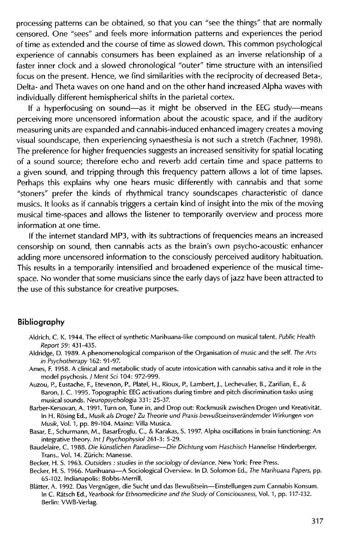processing patterns can be obtained, so that you can "see the things" that are normally censored. One "sees" and feels more information patterns and experiences the period of time as extended and the course of time as slowed down. This common psychological experience of cannabis consumers has been explained as an inverse relationship of a faster inner clock and a slowed chronological "outer" time structure with an intensified focus on the present. Hence, we find similarities with the reciprocity of decreased Beta-, Delta- and Theta waves on one hand and on the other hand increased Alpha waves with individually different hemispherical shifts in the parietal cortex.

If a hyperfocusing on sound—as it might be observed in the EEG study—means perceiving more uncensored information about the acoustic space, and if the auditory measuring units are expanded and cannabis-induced enhanced imagery creates a moving visual soundscape, then experiencing synaesthesia is not such a stretch (Fachner, 1998). The preference for higher frequencies suggests an increased sensitivity for spatial locating of a sound source; therefore echo and reverb add certain time and space patterns to a given sound, and tripping through this frequency pattern allows a lot of time lapses. Perhaps this explains why one hears music differently with cannabis and that some "stoners" prefer the kinds of rhythmical trancy soundscapes characteristic of dance musics. It looks as if cannabis triggers a certain kind of insight into the mix of the moving musical time-spaces and allows the listener to temporarily overview and process more information at one time.

If the internet standard MP3, with its subtractions of frequencies means an increased censorship on sound, then cannabis acts as the brain's own psycho-acoustic enhancer adding more uncensored information to the consciously perceived auditory habituation. This results in a temporarily intensified and broadened experience of the musical timespace. No wonder that some musicians since the early days of jazz have been attracted to the use of this substance for creative purposes.

#### **Bibliography**

- Aldrich, C. K. 1944. The effect of synthetic Marihuana-like compound on musical talent. Public Health Report 59: 431-435.
- Aldridge, D. 1989. A phenomenological comparison of the Organisation of music and the self. The Arts in Psychotherapy 162: 91 -97.
- Ames, F. 1958. A clinical and metabolic study of acute intoxication with cannabis sativa and it role in the model psychosis. J Ment Sci 104: 972-999.
- Auzou, P,, Eustache, F., Etevenon, P., Plate), H., Rioux, P., Lambert, J., Lechevalier, B., Zarifian, E., & Baron, J. C. 1995. Topographic EEG activations during timbre and pitch discrimination tasks using musical sounds. Neuropsychologia 331: 25-37.
- Barber-Kersovan, A. 1991. Turn on, Tune in, and Drop out: Rockmusik zwischen Drogen und Kreativitat. In H. Rosing Ed., Musik **ah** Droge? Zu Theorie und Praxis bewufitseinsverandernder Wirkungen von Musik, Vol. 1, pp. 89-104. Mainz: Villa Musica.
- Basar, E., Schurmann, M., BasarEroglu, C., & Karakas, S. 1997. Alpha oscillations in brain functioning: An integrative theory. Int J Psychophysiol 261-3: 5-29.
- Baudelaire, C. 1988. Die kunstlichen Paradiese-Die Dichtung vom Haschisch Hannelise Hinderberger, Trans.. Vol. 14. Zürich: Manesse.
- Becker, H. S. 1963. Outsiders : studies in the sociology of deviance. New York: Free Press.
- Becker, H. S. 1966. Marihuana-A Sociological Overview. In D. Solomon Ed., The Marihuana Papers, pp. 65-102. Indianapolis: Bobbs-Merrill.
- Blatter, A. 1992. Das Vergnugen, die Sucht und das BewuBtsein-Einstellungen zum Cannabis Konsum. In C. Ratsch Ed., Yearbook for Ethnomedicine and the Study of Consciousness, Vol. 1, pp. 117-132. Berlin: VWB-Verlag.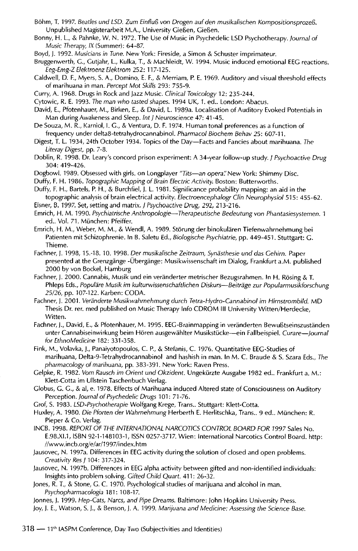- Böhm, T. 1997. Beatles und LSD. Zum Einfluß von Drogen auf den musikalischen Kompositionsprozeß. Unpublished Magisterarbeit M.A., University GieBen, CieBen.
- Bonny, H. L., & Pahnke, W. N. 1972. The Use of Music in Psychedelic LSD Psychotherapy. Journal of Music Therapy, IX (Summer): 64-87.
- Boyd, J. 1992. Musicians in Tune. New York: Fireside, a Simon & Schuster imprimateur.
- Bruggenwerth, G., Gutjahr, L., Kulka, T., & Machleidt, W. 1994. Music induced emotional EEG reactions. Eeg-Emg-Z Elektroenz Elektrom 252: 11 7-125.
- Caldwell, D. F., Myers, S. A., Domino, E. F., & Merriam, P. E. 1969. Auditory and visual threshold effects of marihuana in man. Percept Mot Skills 293: 755-9.
- Curry, A. 1968. Drugs in Rock and Jazz Music. Clinical Toxicology 12: 235-244.
- Cytowic, R. E. 1993. The man who tasted shapes. 1994 UK, 1. ed.. London: Abacus.
- David, E., Pfotenhauer, M., Birken, E., & David, L. 1989a. Localisation of Auditory Evoked Potentials in Man during Awakeness and Sleep. Int J Neuroscience 47: 41 -45.
- De Souza, M. R., Karniol, 1. G., & Ventura, D. F. 1974. Human tonal preferences as a function of frequency under delta8-tetrahydrocannabinol. Pharmacol Biochem Behav 25: 607-11.
- Digest, T. L. 1934, 24th October 1934. Topics of the Day-Facts and Fancies about marihuana. The Literay Digest, pp. 7-8.
- Doblin, R. 1998. Dr. Leary's concord prison experiment: A 34-year follow-up study. J Psychoactive Drug 304: 419-426.
- Dogbowl. 1989. Obsessed with girls. on Longplayer "Tits-an opera" New York: Shimmy Disc.
- Duffy, F. H. 1986. Topographic Mapping of Brain Electric Activity. Boston: Butterworths.
- Duffy, F. H., Bartels, P. H., & Burchfiel, J. L. 1981. Significance probability mapping: an aid in the topographic analysis of brain electrical activity. Electroencephalogr Clin Neurophysiol 515: 455-62.
- Eisner, B. 1997. Set, setting and matrix. J Psychoactive Drug, 292, 213-216.
- Emrich, H. M. 1990. Psychiatrische Anthropologie-Therapeutische Bedeutung von Phantasiesystemen. 1 ed.. Vol. 71. München: Pfeiffer.
- Emrich, H. M., Weber, M. M., & Wendl, A. 1989. Storung der binokularen Tiefenwahrnehmung bei Patienten mit Schizophrenie. In B. Saletu Ed., Biologische Psychiatrie, pp. 449-451. Stuttgart: G. Thieme.
- Fachner, J. 1998, 15.-18. 10. 1998. Der musikalische Zeitraum, Synästhesie und das Gehirn. Paper presented at the Grenzgänge -Übergänge: Musikwissenschaft im Dialog, Frankfurt a.M. published 2000 by von Bockel, Hamburg
- Fachner, J. 2000. Cannabis, Musik und ein veranderter metrischer Bezugsrahmen. In H. Rosing & T. Phleps Eds., Populäre Musik im kulturwissenschaftlichen Diskurs-Beiträge zur Popularmusikforschung 25/26, pp. 107-122. Karben: CODA.
- Fachner, J. 2001. Veränderte Musikwahrnehmung durch Tetra-Hydro-Cannabinol im Hirnstrombild. MD Thesis Dr. rer. med published on Music Therapy Info CDROM III University Witten/Herdecke, Witten.
- Fachner, J., David, E., & Pfotenhauer, M. 1995. EEG-Brainmapping in veranderten BewuBtseinszustanden unter Cannabiseinwirkung beim Hören ausgewählter Musikstücke-ein Fallbeispiel. Curare-Journal for EthnoMedicine 182: 331-358.
- Fink, M,, Volavka, **J.,** Panaiyotopoulos, C. P,, & Stefanis, C. 1976. Quantitative EEG-Studies of marihuana, Delta-9-Tetrahydrocannabinol and hashish in man. In M. C. Braude & S. Szara Eds., The pharmacology of marihuana, pp. 383-391. New York: Raven Press.
- Gelpke, R. 1982. Vom Rausch im Orient und Okzident. Ungekurzte Ausgabe 1982 ed.. Frankfurt a. M,: Klett-Cotta im Ullstein Taschenbuch Verlag.
- Globus, G. G., & al, e. 1978. Effects of Marihuana induced Altered state of Consciousness on Auditory Perception. Journal of Psychedelic Drugs 101: 71-76.
- Grof, S. 1983. LSD-Psychotherapie Wolfgang Krege, Trans.. Stuttgart: Klett-Cotta.
- Huxley, A. 1980. Die Pforten der Wahrnehmung Herberth E. Herlitschka, Trans.. 9 ed.. Munchen: R. Pieper & Co. Verlag.
- INCB. 1998. REPORT OF THE INTERNATIONAL NARCOTICS CONTROL BOARD FOR 7997 Sales No. E.98.XI.1, ISBN 92-1-148103-1, ISSN 0257-3717. Wien: International Narcotics Control Board. http: //www.incb.org/e/ar/1997/index.htm
- Jausovec, N. 1997a. Differences in EEG activity during the solution of closed and open problems. Creativity Res / 104: 317-324.
- Jausovec, N. 1997b. Differences in EEG alpha activity between gifted and non-identified individuals: Insights into problem solving. Gifted Child Quart. 411: 26-32.
- Jones, R. T., & Stone, G. C. 1970. Psychological studies of marijuana and alcohol in man. Psychopharmacologia 181: 108-17.
- Jonnes, **J.** 1999. Hep-Cats, Narcs, and Pipe Dreams. Baltimore: John Hopkins University Press.
- Joy, J. E., Watson, S. J., & Benson, J. A. 1999. Marijuana and Medicine: Assessing the Science Base.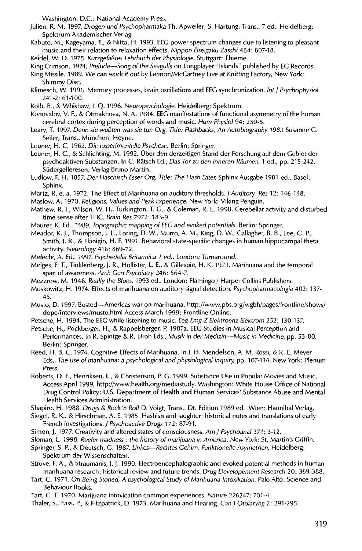Washington, D.C.: National Academy Press.

- Julien, R. M. 1997. Drogen und Psychopharmaka Th. Apweiler; S. Hartung, Trans.. 7 ed.. Heidelberg: Spektrum Akademischer Verlag.
- Kabuto, M., Kageyama, T., & Nitta, H. 1993. EEC power spectrum changes due to listening to pleasant music and their relation to relaxation effects. Nippon Eiseigaku Zasshi 484: 807-18.

Keidel, W. D. 1975. Kurzgefaßtes Lehrbuch der Physiologie. Stuttgart: Thieme.

King Crimson. 1974. Prelude-Song of the Seagulls on Longplayer "Islands" published by EG Records.

King Missile. 1989. We can work it out by Lennon/McCartney Live at Knitting Factory, New York: Shimmy Disc.

Klimesch, W. 1996. Memory processes, brain oscillations and EEC synchronization. Int 1 Psychophysiol 241 -2: 61 -1 00.

Kolb, B., & Whishaw, 1. Q. 1996. Neuropsychologie. Heidelberg: Spektrum.

- Konovalov, V. F., & Otmakhova, N. A. 1984. EEC manifestations of functional asymmetry of the human cerebral cortex during perception of words and music. Hum Physiol 94: 250-5.
- Leary, T. 1997. Denn sie wuliten was sie tun Org. Title: Flashbacks, An Autobiography 1983 Susanne C. Seiler, Trans.. München: Heyne.
- Leuner, H. C. 1962. Die experimentelle Psychose. Berlin: Springer.

Leuner, H. C., & Schlichting, M. 1992. Uber den derzeitigen Stand der Forschung auf dem Gebiet der psychoaktiven Substanzen. In C. Ratsch Ed., Das Torzu den inneren Raumen, 1 ed., pp. 215-242. Siidergelleresen: Verlag Bruno Martin.

- Ludlow, F. H. 1857. Der Haschisch Esser Org. Title: The Hash Eater. Sphinx Ausgabe 1981 ed.. Basel: Sphinx.
- Martz, R. e. a. 1972. The Effect of Marihuana on auditory thresholds.) Auditory Res 12: 146-148.

Maslow, A. 1970. Religions, Values and Peak Experience. New York: Viking Penguin.

- Mathew, R. J., Wilson, W. H., Turkington, T. C., & Coleman, R. E. 1998. Cerebellar activity and disturbed time sense after THC. Brain Res 7972: 183-9.
- Maurer, K. Ed.. 1989. Topographic mapping of EEG and evoked potentials. Berlin: Springer.
- Meador, K. J., Thompson, J. L., Loring, D. W., Murro, A. M., King, D. W., Callagher, B. B., Lee, C. P., Smith, J. R., & Flanigin, H. F. 1991. Behavioral state-specific changes in human hippocampal theta activity. Neurology 416: 869-72.
- Melechi, A. Ed.. 1997. Psychedelia Britannica 1 ed.. London: Turnaround.
- Melges, F. T., Tinklenberg, **J.** R., Hollister, L. E., & Gillespie, H. K. 1971. Marihuana and the temporal span of awareness. Arch Gen Psychiatry 246: 564-7.
- Mezzrow, M. 1946. Really the Blues. 1993 ed.. London: Flamingo / Harper Collins Publishers.
- Moskowitz, H. 1974. Effects of marihuana on auditory signal detection. Psychopharmacologia 402: 137- 45.
- Musto, D. 1997. Busted-Americas war on marihuana, http://www.pbs.org/wgbh/pages/frontline/shows/ dope/interviews/musto.html Access March 1999: Frontline Online.
- Petsche, H. 1994. The EEC while listening to music. Eeg-Emg-Z Elektroenz Elektrom 252: 130-137.
- Petsche, H., Pockberger, H., & Rappelsberger, P. 1987a. EEC-Studies in Musical Perception and Performances. In R. Spintge & R. Droh Eds., Musik in der Medizin---Music in Medicine, pp. 53-80. Berlin: Springer.
- Reed, H. B. C. 1974. Cognitive Effects of Marihuana. In **J.** H. Mendelson, A. M. Rossi, & R. E. Meyer Eds., The use of marihuana; a psychological and physiological inquiry, pp. 107-114. New York: Plenum Press.
- Roberts, D. F., Henriksen, L., & Christenson, P. C. 1999. Substance Use in Popular Movies and Music, Access April 1999, http://www.health.org/mediastudy. Washington: White House Office of National Drug Control Policy; U.S. Department of Health and Human Services' Substance Abuse and Mental Health Services Administration.

Shapiro, H. 1988. Drugs & Rock'n Roll D. Voigt, Trans.. Dt. Edition 1989 ed.. Wien: Hannibal Verlag.

- Siegel, R. K., & Hirschman, A. E. 1985. Hashish and laughter: historical notes and translations of early French investigations. 1 Psychoactive Drugs 172: 87-91.
- Simon, J. 1977. Creativity and altered states of consciousness. Am j Psychoanal 371: 3-12.

Sloman, L. 1998. Reefer madness : the history of marijuana in America. New York: St. Martin's Griffin.

- Springer, S. P., & Deutsch, G. 1987. Linkes-Rechtes Gehirn. Funktionelle Asymetrien. Heidelberg: Spektrum der Wissenschaften.
- Struve, F. A., & Straumanis, J. **J.** 1990. Electroencephalographic and evoked potential methods in human marihuana research: historical review and future trends. Drug Developement Research 20: 369-388.
- Tart, C. 1971. On Being Stoned, A psychological Study of Marihuana Intoxikation. Palo Alto: Science and Behaviour Books.
- Tart, C. T. 1970. Marijuana intoxication common experiences. Nature 226247: 701-4.
- Thaler, S., Fass, P., & Fitzpatrick, D. 1973. Marihuana and Hearing. Can ] Otolaryng 2: 291-295.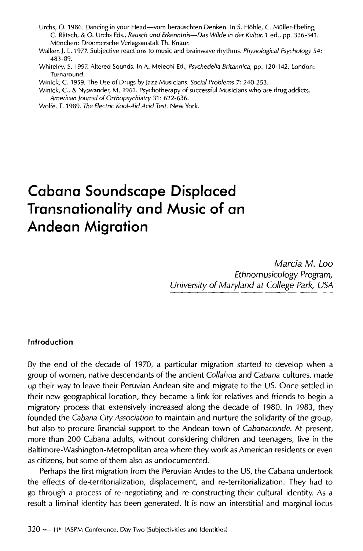- Urchs, O. 1986. Dancing in your Head--vom berauschten Denken. In S. Höhle, C. Müller-Ebeling, C. Rätsch, & O. Urchs Eds., Rausch und Erkenntnis-Das Wilde in der Kultur, 1 ed., pp. 326-341. Munchen: Droernersche Verlagsanstalt Th. Knaur.
- Walker, J. L. 1977. Subjective reactions to music and brainwave rhythms. Physiological Psychology 54: 483-89.
- Whiteley, S. 1997. Altered Sounds. In A. Melechi Ed., Psychedelia Britannica, pp. 120-142. London: Turnaround.
- Winick, C. 1959. The Use of Drugs by Jazz Musicians. Social Problems 7: 240-253.
- Winick, C., & Nyswander, M. 1961. Psychotherapy of successful Musicians who are drug addicts. American Journal of Orthopsychiatry 31: 622-636.

Wolfe, T. 1989. The Electric Kool-Aid Acid Test. New York.

# **Cabana Soundscape Displaced Transnationality and Music of an Andean Migration**

Marcia M. Loo Ethnomusico/ogy Program, University of Maryland at College Park, USA

#### Introduction

By the end of the decade of 1970, a particular migration started to develop when a group of women, native descendants of the ancient Collahua and Cabana cultures, made up their way to leave their Peruvian Andean site and migrate to the US. Once settled in their new geographical location, they became a link for relatives and friends to begin a migratory process that extensively increased along the decade of 1980. In 1983, they founded the Cabana City Association to maintain and nurture the solidarity of the group, but also to procure financial support to the Andean town of Cabanaconde. At present, more than 200 Cabana adults, without considering children and teenagers, live in the Baltimore-Washington-Metropolitan area where they work as American residents or even as citizens, but some of them also as undocumented.

Perhaps the first migration from the Peruvian Andes to the US, the Cabana undertook the effects of de-territorialization, displacement, and re-territorialization. They had to go through a process of re-negotiating and re-constructing their cultural identity. As a result a liminal identity has been generated. It is now an interstitial and marginal locus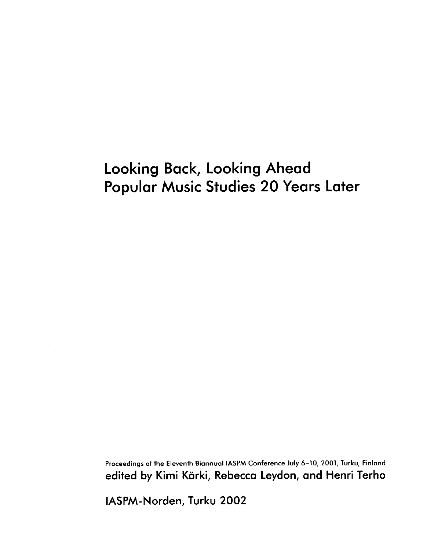# **Looking Back, Looking Ahead Popular Music Studies 20 Years Later**

**Proceedings of the Eleventh Biannual IASPM Conference July 6-10, 2001, Turku, Finland edited by Kimi Karki, Rebecca Leydon, and Henri Terho** 

**IASPM-Norden, Turku 2002**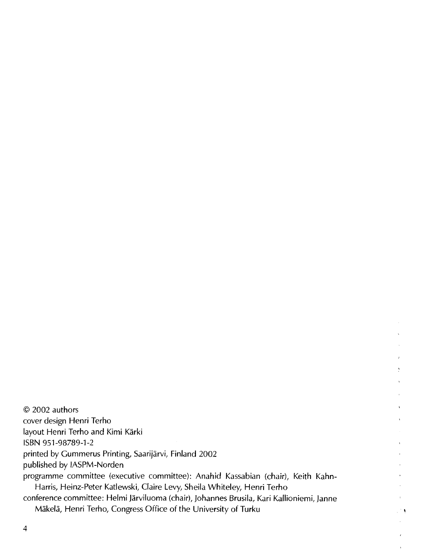0 2002 authors cover design Henri Terho layout Henri Terho and Kimi Kärki ISBN 951 -98789-1 -2 printed by Gummerus Printing, Saarijarvi, Finland 2002 published by IASPM-Norden programme committee (executive committee): Anahid Kassabian (chair), Keith Kahn-Harris, Heinz-Peter Katlewski, Claire Levy, Sheila Whiteley, Henri Terho conference committee: Helmi Jarviluoma (chair), Johannes Brusila, Kari Kallioniemi, Janne Makela, Henri Terho, Congress Office of the University of Turku